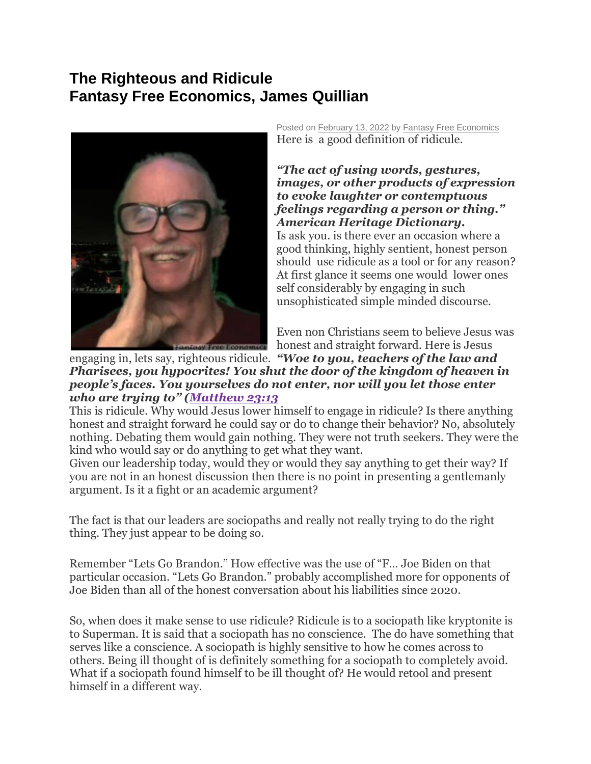## **The Righteous and Ridicule Fantasy Free Economics, James Quillian**



Posted on [February 13, 2022](http://quillian.net/blog/?p=7834) by [Fantasy Free Economics](http://quillian.net/blog/author/james-quillian/) Here is a good definition of ridicule.

*"The act of using words, gestures, images, or other products of expression to evoke laughter or contemptuous feelings regarding a person or thing." American Heritage Dictionary.* Is ask you. is there ever an occasion where a good thinking, highly sentient, honest person should use ridicule as a tool or for any reason? At first glance it seems one would lower ones self considerably by engaging in such unsophisticated simple minded discourse.

Even non Christians seem to believe Jesus was honest and straight forward. Here is Jesus

engaging in, lets say, righteous ridicule. *"Woe to you, teachers of the law and Pharisees, you hypocrites! You shut the door of the kingdom of heaven in people's faces. You yourselves do not enter, nor will you let those enter who are trying to" ([Matthew 23:13](https://biblia.com/bible/esv/Matt%2023.13)*

This is ridicule. Why would Jesus lower himself to engage in ridicule? Is there anything honest and straight forward he could say or do to change their behavior? No, absolutely nothing. Debating them would gain nothing. They were not truth seekers. They were the kind who would say or do anything to get what they want.

Given our leadership today, would they or would they say anything to get their way? If you are not in an honest discussion then there is no point in presenting a gentlemanly argument. Is it a fight or an academic argument?

The fact is that our leaders are sociopaths and really not really trying to do the right thing. They just appear to be doing so.

Remember "Lets Go Brandon." How effective was the use of "F… Joe Biden on that particular occasion. "Lets Go Brandon." probably accomplished more for opponents of Joe Biden than all of the honest conversation about his liabilities since 2020.

So, when does it make sense to use ridicule? Ridicule is to a sociopath like kryptonite is to Superman. It is said that a sociopath has no conscience. The do have something that serves like a conscience. A sociopath is highly sensitive to how he comes across to others. Being ill thought of is definitely something for a sociopath to completely avoid. What if a sociopath found himself to be ill thought of? He would retool and present himself in a different way.